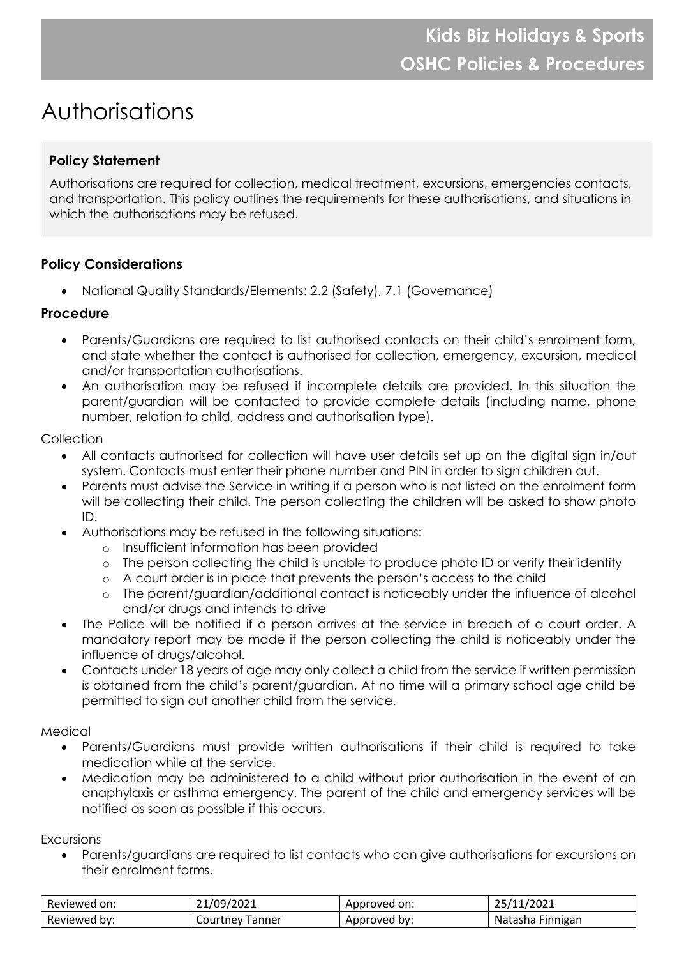# Authorisations

## **Policy Statement**

Authorisations are required for collection, medical treatment, excursions, emergencies contacts, and transportation. This policy outlines the requirements for these authorisations, and situations in which the authorisations may be refused.

## **Policy Considerations**

• National Quality Standards/Elements: 2.2 (Safety), 7.1 (Governance)

### **Procedure**

- Parents/Guardians are required to list authorised contacts on their child's enrolment form, and state whether the contact is authorised for collection, emergency, excursion, medical and/or transportation authorisations.
- An authorisation may be refused if incomplete details are provided. In this situation the parent/guardian will be contacted to provide complete details (including name, phone number, relation to child, address and authorisation type).

#### **Collection**

- All contacts authorised for collection will have user details set up on the digital sign in/out system. Contacts must enter their phone number and PIN in order to sign children out.
- Parents must advise the Service in writing if a person who is not listed on the enrolment form will be collecting their child. The person collecting the children will be asked to show photo ID.
- Authorisations may be refused in the following situations:
	- o Insufficient information has been provided
	- o The person collecting the child is unable to produce photo ID or verify their identity
	- o A court order is in place that prevents the person's access to the child
	- o The parent/guardian/additional contact is noticeably under the influence of alcohol and/or drugs and intends to drive
- The Police will be notified if a person arrives at the service in breach of a court order. A mandatory report may be made if the person collecting the child is noticeably under the influence of drugs/alcohol.
- Contacts under 18 years of age may only collect a child from the service if written permission is obtained from the child's parent/guardian. At no time will a primary school age child be permitted to sign out another child from the service.

#### Medical

- Parents/Guardians must provide written authorisations if their child is required to take medication while at the service.
- Medication may be administered to a child without prior authorisation in the event of an anaphylaxis or asthma emergency. The parent of the child and emergency services will be notified as soon as possible if this occurs.

Excursions

• Parents/guardians are required to list contacts who can give authorisations for excursions on their enrolment forms.

| Reviewed on: | 21/09/2021 | `on:<br>Approved | 1222<br>'II/ZUZI |
|--------------|------------|------------------|------------------|
| Reviewed by: | Tanner     | bv:              | Finnigan         |
|              | Courtney   | Approved         | Natasha          |